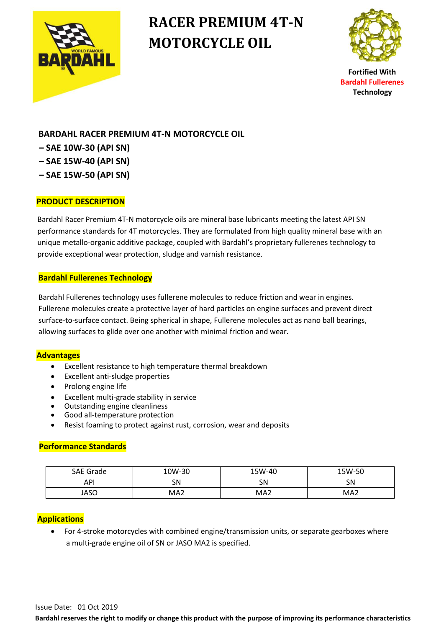

# **RACER PREMIUM 4T-N MOTORCYCLE OIL**



**Fortified With Bardahl Fullerenes Technology**

## **BARDAHL RACER PREMIUM 4T-N MOTORCYCLE OIL**

- **– SAE 10W-30 (API SN)**
- **– SAE 15W-40 (API SN)**
- **– SAE 15W-50 (API SN)**

### **PRODUCT DESCRIPTION**

Bardahl Racer Premium 4T-N motorcycle oils are mineral base lubricants meeting the latest API SN performance standards for 4T motorcycles. They are formulated from high quality mineral base with an unique metallo-organic additive package, coupled with Bardahl's proprietary fullerenes technology to provide exceptional wear protection, sludge and varnish resistance.

#### **Bardahl Fullerenes Technology**

 Bardahl Fullerenes technology uses fullerene molecules to reduce friction and wear in engines. Fullerene molecules create a protective layer of hard particles on engine surfaces and prevent direct surface-to-surface contact. Being spherical in shape, Fullerene molecules act as nano ball bearings, allowing surfaces to glide over one another with minimal friction and wear.

#### **Advantages**

- Excellent resistance to high temperature thermal breakdown
- Excellent anti-sludge properties
- Prolong engine life
- Excellent multi-grade stability in service
- Outstanding engine cleanliness
- Good all-temperature protection
- Resist foaming to protect against rust, corrosion, wear and deposits

### **Performance Standards**

| <b>SAE Grade</b> | 10W-30 | 15W-40          | 15W-50 |
|------------------|--------|-----------------|--------|
| API              | SΝ     | SN              | SΝ     |
| JASO             | MA2    | MA <sub>2</sub> | MA2    |

## **Applications**

 For 4-stroke motorcycles with combined engine/transmission units, or separate gearboxes where a multi-grade engine oil of SN or JASO MA2 is specified.

**Bardahl reserves the right to modify or change this product with the purpose of improving its performance characteristics**